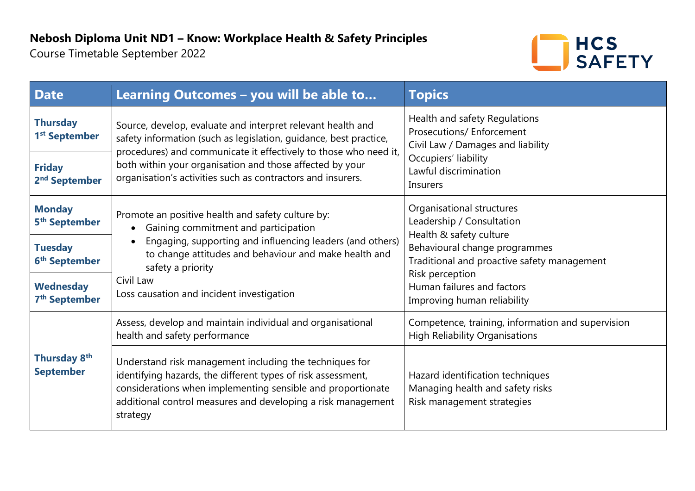Course Timetable September 2022



| <b>Date</b>                                   | Learning Outcomes - you will be able to                                                                                                                                                                                                                                                                                         | <b>Topics</b>                                                                                                                                                                                                                                     |
|-----------------------------------------------|---------------------------------------------------------------------------------------------------------------------------------------------------------------------------------------------------------------------------------------------------------------------------------------------------------------------------------|---------------------------------------------------------------------------------------------------------------------------------------------------------------------------------------------------------------------------------------------------|
| <b>Thursday</b><br>1 <sup>st</sup> September  | Source, develop, evaluate and interpret relevant health and<br>safety information (such as legislation, guidance, best practice,<br>procedures) and communicate it effectively to those who need it,<br>both within your organisation and those affected by your<br>organisation's activities such as contractors and insurers. | Health and safety Regulations<br>Prosecutions/ Enforcement<br>Civil Law / Damages and liability<br>Occupiers' liability<br>Lawful discrimination<br><b>Insurers</b>                                                                               |
| <b>Friday</b><br>2 <sup>nd</sup> September    |                                                                                                                                                                                                                                                                                                                                 |                                                                                                                                                                                                                                                   |
| <b>Monday</b><br>5 <sup>th</sup> September    | Promote an positive health and safety culture by:<br>Gaining commitment and participation<br>Engaging, supporting and influencing leaders (and others)<br>to change attitudes and behaviour and make health and<br>safety a priority<br>Civil Law<br>Loss causation and incident investigation                                  | Organisational structures<br>Leadership / Consultation<br>Health & safety culture<br>Behavioural change programmes<br>Traditional and proactive safety management<br>Risk perception<br>Human failures and factors<br>Improving human reliability |
| <b>Tuesday</b><br>6 <sup>th</sup> September   |                                                                                                                                                                                                                                                                                                                                 |                                                                                                                                                                                                                                                   |
| <b>Wednesday</b><br>7 <sup>th</sup> September |                                                                                                                                                                                                                                                                                                                                 |                                                                                                                                                                                                                                                   |
| Thursday 8 <sup>th</sup><br><b>September</b>  | Assess, develop and maintain individual and organisational<br>health and safety performance                                                                                                                                                                                                                                     | Competence, training, information and supervision<br><b>High Reliability Organisations</b>                                                                                                                                                        |
|                                               | Understand risk management including the techniques for<br>identifying hazards, the different types of risk assessment,<br>considerations when implementing sensible and proportionate<br>additional control measures and developing a risk management<br>strategy                                                              | Hazard identification techniques<br>Managing health and safety risks<br>Risk management strategies                                                                                                                                                |